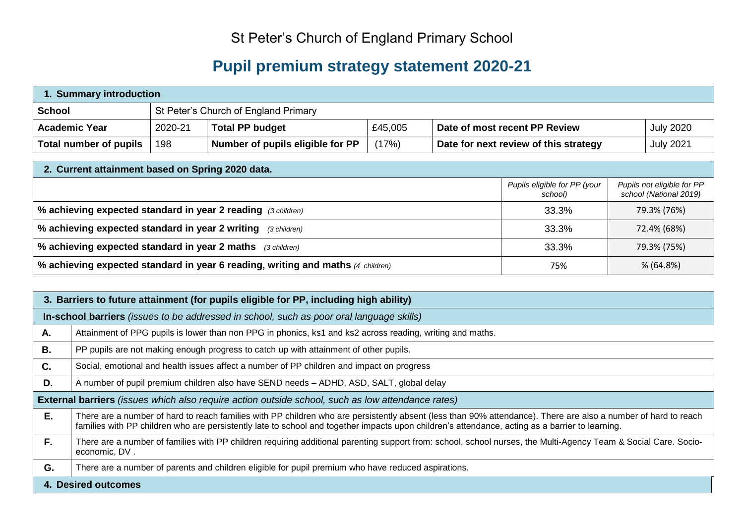## St Peter's Church of England Primary School

## **Pupil premium strategy statement 2020-21**

| 1. Summary introduction |         |                                      |         |                                       |                  |  |  |  |
|-------------------------|---------|--------------------------------------|---------|---------------------------------------|------------------|--|--|--|
| <b>School</b>           |         | St Peter's Church of England Primary |         |                                       |                  |  |  |  |
| <b>Academic Year</b>    | 2020-21 | <b>Total PP budget</b>               | £45,005 | Date of most recent PP Review         | <b>July 2020</b> |  |  |  |
| Total number of pupils  | 198     | Number of pupils eligible for PP     | (17%)   | Date for next review of this strategy | <b>July 2021</b> |  |  |  |

| 2. Current attainment based on Spring 2020 data.                                |                                         |                                                      |  |  |  |  |  |
|---------------------------------------------------------------------------------|-----------------------------------------|------------------------------------------------------|--|--|--|--|--|
|                                                                                 | Pupils eligible for PP (your<br>school) | Pupils not eligible for PP<br>school (National 2019) |  |  |  |  |  |
| % achieving expected standard in year 2 reading (3 children)                    | 33.3%                                   | 79.3% (76%)                                          |  |  |  |  |  |
| % achieving expected standard in year 2 writing<br>(3 children)                 | 33.3%                                   | 72.4% (68%)                                          |  |  |  |  |  |
| % achieving expected standard in year 2 maths (3 children)                      | 33.3%                                   | 79.3% (75%)                                          |  |  |  |  |  |
| % achieving expected standard in year 6 reading, writing and maths (4 children) | 75%                                     | % (64.8%)                                            |  |  |  |  |  |

|    | 3. Barriers to future attainment (for pupils eligible for PP, including high ability)                                                                                                                                                                                                                             |  |  |  |  |  |  |  |
|----|-------------------------------------------------------------------------------------------------------------------------------------------------------------------------------------------------------------------------------------------------------------------------------------------------------------------|--|--|--|--|--|--|--|
|    | In-school barriers (issues to be addressed in school, such as poor oral language skills)                                                                                                                                                                                                                          |  |  |  |  |  |  |  |
| Α. | Attainment of PPG pupils is lower than non PPG in phonics, ks1 and ks2 across reading, writing and maths.                                                                                                                                                                                                         |  |  |  |  |  |  |  |
| В. | PP pupils are not making enough progress to catch up with attainment of other pupils.                                                                                                                                                                                                                             |  |  |  |  |  |  |  |
| C. | Social, emotional and health issues affect a number of PP children and impact on progress                                                                                                                                                                                                                         |  |  |  |  |  |  |  |
| D. | A number of pupil premium children also have SEND needs - ADHD, ASD, SALT, global delay                                                                                                                                                                                                                           |  |  |  |  |  |  |  |
|    | External barriers (issues which also require action outside school, such as low attendance rates)                                                                                                                                                                                                                 |  |  |  |  |  |  |  |
| E. | There are a number of hard to reach families with PP children who are persistently absent (less than 90% attendance). There are also a number of hard to reach<br>families with PP children who are persistently late to school and together impacts upon children's attendance, acting as a barrier to learning. |  |  |  |  |  |  |  |
| F. | There are a number of families with PP children requiring additional parenting support from: school, school nurses, the Multi-Agency Team & Social Care. Socio-<br>economic, DV.                                                                                                                                  |  |  |  |  |  |  |  |
| G. | There are a number of parents and children eligible for pupil premium who have reduced aspirations.                                                                                                                                                                                                               |  |  |  |  |  |  |  |
|    | 4. Desired outcomes                                                                                                                                                                                                                                                                                               |  |  |  |  |  |  |  |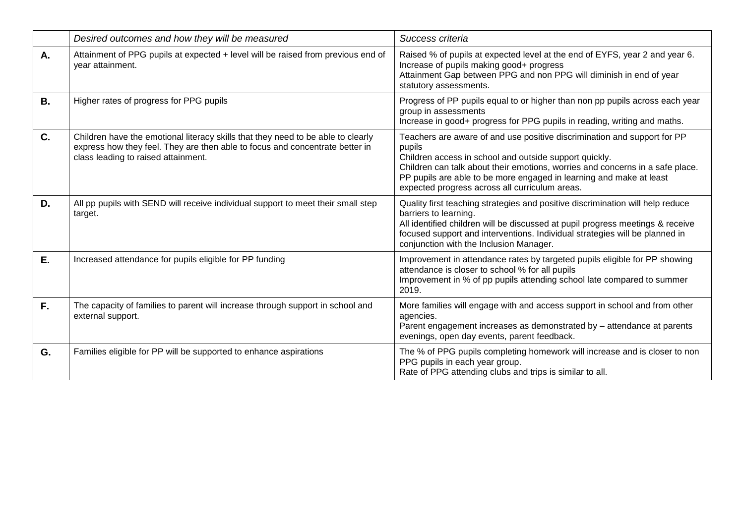|           | Desired outcomes and how they will be measured                                                                                                                                                          | Success criteria                                                                                                                                                                                                                                                                                                                                       |
|-----------|---------------------------------------------------------------------------------------------------------------------------------------------------------------------------------------------------------|--------------------------------------------------------------------------------------------------------------------------------------------------------------------------------------------------------------------------------------------------------------------------------------------------------------------------------------------------------|
| A.        | Attainment of PPG pupils at expected + level will be raised from previous end of<br>year attainment.                                                                                                    | Raised % of pupils at expected level at the end of EYFS, year 2 and year 6.<br>Increase of pupils making good+ progress<br>Attainment Gap between PPG and non PPG will diminish in end of year<br>statutory assessments.                                                                                                                               |
| <b>B.</b> | Higher rates of progress for PPG pupils                                                                                                                                                                 | Progress of PP pupils equal to or higher than non pp pupils across each year<br>group in assessments<br>Increase in good+ progress for PPG pupils in reading, writing and maths.                                                                                                                                                                       |
| C.        | Children have the emotional literacy skills that they need to be able to clearly<br>express how they feel. They are then able to focus and concentrate better in<br>class leading to raised attainment. | Teachers are aware of and use positive discrimination and support for PP<br>pupils<br>Children access in school and outside support quickly.<br>Children can talk about their emotions, worries and concerns in a safe place.<br>PP pupils are able to be more engaged in learning and make at least<br>expected progress across all curriculum areas. |
| D.        | All pp pupils with SEND will receive individual support to meet their small step<br>target.                                                                                                             | Quality first teaching strategies and positive discrimination will help reduce<br>barriers to learning.<br>All identified children will be discussed at pupil progress meetings & receive<br>focused support and interventions. Individual strategies will be planned in<br>conjunction with the Inclusion Manager.                                    |
| E.        | Increased attendance for pupils eligible for PP funding                                                                                                                                                 | Improvement in attendance rates by targeted pupils eligible for PP showing<br>attendance is closer to school % for all pupils<br>Improvement in % of pp pupils attending school late compared to summer<br>2019.                                                                                                                                       |
| F.        | The capacity of families to parent will increase through support in school and<br>external support.                                                                                                     | More families will engage with and access support in school and from other<br>agencies.<br>Parent engagement increases as demonstrated by - attendance at parents<br>evenings, open day events, parent feedback.                                                                                                                                       |
| G.        | Families eligible for PP will be supported to enhance aspirations                                                                                                                                       | The % of PPG pupils completing homework will increase and is closer to non<br>PPG pupils in each year group.<br>Rate of PPG attending clubs and trips is similar to all.                                                                                                                                                                               |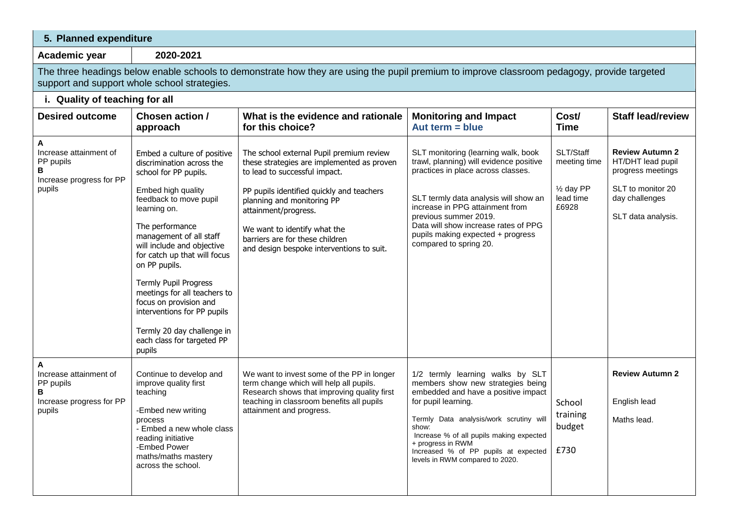| 5. Planned expenditure                                                              |                                                                                                                                                                                                                                                                                                                                                                                                                                                                        |                                                                                                                                                                                                                                                                                                                                            |                                                                                                                                                                                                                                                                                                                                     |                                                               |                                                                                                                               |  |  |  |  |  |
|-------------------------------------------------------------------------------------|------------------------------------------------------------------------------------------------------------------------------------------------------------------------------------------------------------------------------------------------------------------------------------------------------------------------------------------------------------------------------------------------------------------------------------------------------------------------|--------------------------------------------------------------------------------------------------------------------------------------------------------------------------------------------------------------------------------------------------------------------------------------------------------------------------------------------|-------------------------------------------------------------------------------------------------------------------------------------------------------------------------------------------------------------------------------------------------------------------------------------------------------------------------------------|---------------------------------------------------------------|-------------------------------------------------------------------------------------------------------------------------------|--|--|--|--|--|
| Academic year                                                                       | 2020-2021                                                                                                                                                                                                                                                                                                                                                                                                                                                              |                                                                                                                                                                                                                                                                                                                                            |                                                                                                                                                                                                                                                                                                                                     |                                                               |                                                                                                                               |  |  |  |  |  |
|                                                                                     | The three headings below enable schools to demonstrate how they are using the pupil premium to improve classroom pedagogy, provide targeted<br>support and support whole school strategies.                                                                                                                                                                                                                                                                            |                                                                                                                                                                                                                                                                                                                                            |                                                                                                                                                                                                                                                                                                                                     |                                                               |                                                                                                                               |  |  |  |  |  |
| i. Quality of teaching for all                                                      |                                                                                                                                                                                                                                                                                                                                                                                                                                                                        |                                                                                                                                                                                                                                                                                                                                            |                                                                                                                                                                                                                                                                                                                                     |                                                               |                                                                                                                               |  |  |  |  |  |
| <b>Desired outcome</b>                                                              | Chosen action /<br>approach                                                                                                                                                                                                                                                                                                                                                                                                                                            | What is the evidence and rationale<br>for this choice?                                                                                                                                                                                                                                                                                     | <b>Monitoring and Impact</b><br>Aut term $=$ blue                                                                                                                                                                                                                                                                                   | Cost/<br><b>Time</b>                                          | <b>Staff lead/review</b>                                                                                                      |  |  |  |  |  |
| А<br>Increase attainment of<br>PP pupils<br>В<br>Increase progress for PP<br>pupils | Embed a culture of positive<br>discrimination across the<br>school for PP pupils.<br>Embed high quality<br>feedback to move pupil<br>learning on.<br>The performance<br>management of all staff<br>will include and objective<br>for catch up that will focus<br>on PP pupils.<br>Termly Pupil Progress<br>meetings for all teachers to<br>focus on provision and<br>interventions for PP pupils<br>Termly 20 day challenge in<br>each class for targeted PP<br>pupils | The school external Pupil premium review<br>these strategies are implemented as proven<br>to lead to successful impact.<br>PP pupils identified quickly and teachers<br>planning and monitoring PP<br>attainment/progress.<br>We want to identify what the<br>barriers are for these children<br>and design bespoke interventions to suit. | SLT monitoring (learning walk, book<br>trawl, planning) will evidence positive<br>practices in place across classes.<br>SLT termly data analysis will show an<br>increase in PPG attainment from<br>previous summer 2019.<br>Data will show increase rates of PPG<br>pupils making expected + progress<br>compared to spring 20.    | SLT/Staff<br>meeting time<br>1/2 day PP<br>lead time<br>£6928 | <b>Review Autumn 2</b><br>HT/DHT lead pupil<br>progress meetings<br>SLT to monitor 20<br>day challenges<br>SLT data analysis. |  |  |  |  |  |
| Α<br>Increase attainment of<br>PP pupils<br>в<br>Increase progress for PP<br>pupils | Continue to develop and<br>improve quality first<br>teaching<br>-Embed new writing<br>process<br>- Embed a new whole class<br>reading initiative<br>-Embed Power<br>maths/maths mastery<br>across the school.                                                                                                                                                                                                                                                          | We want to invest some of the PP in longer<br>term change which will help all pupils.<br>Research shows that improving quality first<br>teaching in classroom benefits all pupils<br>attainment and progress.                                                                                                                              | 1/2 termly learning walks by SLT<br>members show new strategies being<br>embedded and have a positive impact<br>for pupil learning.<br>Termly Data analysis/work scrutiny will<br>show:<br>Increase % of all pupils making expected<br>+ progress in RWM<br>Increased % of PP pupils at expected<br>levels in RWM compared to 2020. | School<br>training<br>budget<br>£730                          | <b>Review Autumn 2</b><br>English lead<br>Maths lead.                                                                         |  |  |  |  |  |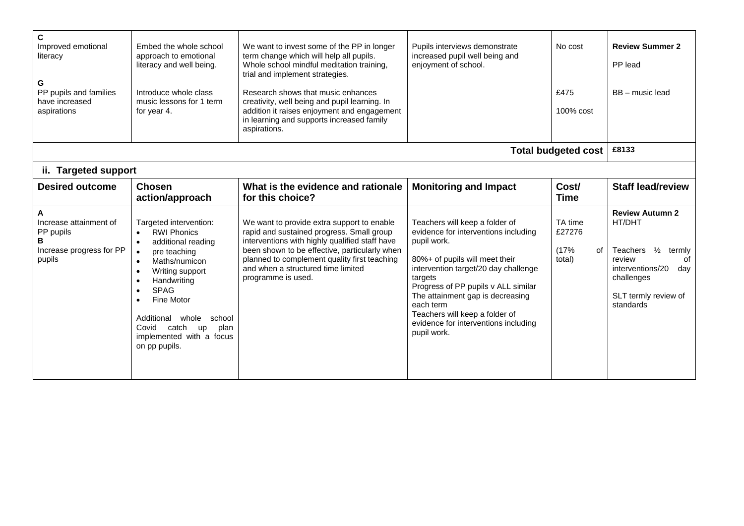| C<br>Improved emotional<br>literacy<br>G<br>PP pupils and families<br>have increased<br>aspirations | Embed the whole school<br>approach to emotional<br>literacy and well being.<br>Introduce whole class<br>music lessons for 1 term<br>for year 4.                                                                                                                                  | We want to invest some of the PP in longer<br>term change which will help all pupils.<br>Whole school mindful meditation training,<br>trial and implement strategies.<br>Research shows that music enhances<br>creativity, well being and pupil learning. In<br>addition it raises enjoyment and engagement<br>in learning and supports increased family<br>aspirations. | Pupils interviews demonstrate<br>increased pupil well being and<br>enjoyment of school.                                                                                                                                                                                                                                                                     | No cost<br>£475<br>100% cost                | <b>Review Summer 2</b><br>PP lead<br>BB - music lead                                                                                                     |
|-----------------------------------------------------------------------------------------------------|----------------------------------------------------------------------------------------------------------------------------------------------------------------------------------------------------------------------------------------------------------------------------------|--------------------------------------------------------------------------------------------------------------------------------------------------------------------------------------------------------------------------------------------------------------------------------------------------------------------------------------------------------------------------|-------------------------------------------------------------------------------------------------------------------------------------------------------------------------------------------------------------------------------------------------------------------------------------------------------------------------------------------------------------|---------------------------------------------|----------------------------------------------------------------------------------------------------------------------------------------------------------|
|                                                                                                     |                                                                                                                                                                                                                                                                                  |                                                                                                                                                                                                                                                                                                                                                                          |                                                                                                                                                                                                                                                                                                                                                             | <b>Total budgeted cost</b>                  | £8133                                                                                                                                                    |
| ii. Targeted support                                                                                |                                                                                                                                                                                                                                                                                  |                                                                                                                                                                                                                                                                                                                                                                          |                                                                                                                                                                                                                                                                                                                                                             |                                             |                                                                                                                                                          |
| <b>Desired outcome</b>                                                                              | <b>Chosen</b><br>action/approach                                                                                                                                                                                                                                                 | What is the evidence and rationale<br>for this choice?                                                                                                                                                                                                                                                                                                                   | <b>Monitoring and Impact</b>                                                                                                                                                                                                                                                                                                                                | Cost/<br><b>Time</b>                        | <b>Staff lead/review</b>                                                                                                                                 |
| A<br>Increase attainment of<br>PP pupils<br>R<br>Increase progress for PP<br>pupils                 | Targeted intervention:<br><b>RWI Phonics</b><br>additional reading<br>pre teaching<br>Maths/numicon<br>Writing support<br>Handwriting<br><b>SPAG</b><br>Fine Motor<br>Additional<br>whole<br>school<br>Covid<br>catch<br>plan<br>up<br>implemented with a focus<br>on pp pupils. | We want to provide extra support to enable<br>rapid and sustained progress. Small group<br>interventions with highly qualified staff have<br>been shown to be effective, particularly when<br>planned to complement quality first teaching<br>and when a structured time limited<br>programme is used.                                                                   | Teachers will keep a folder of<br>evidence for interventions including<br>pupil work.<br>80%+ of pupils will meet their<br>intervention target/20 day challenge<br>targets<br>Progress of PP pupils v ALL similar<br>The attainment gap is decreasing<br>each term<br>Teachers will keep a folder of<br>evidence for interventions including<br>pupil work. | TA time<br>£27276<br>(17%<br>of l<br>total) | <b>Review Autumn 2</b><br>HT/DHT<br>Teachers 1/2<br>termly<br>review<br>of<br>interventions/20<br>day<br>challenges<br>SLT termly review of<br>standards |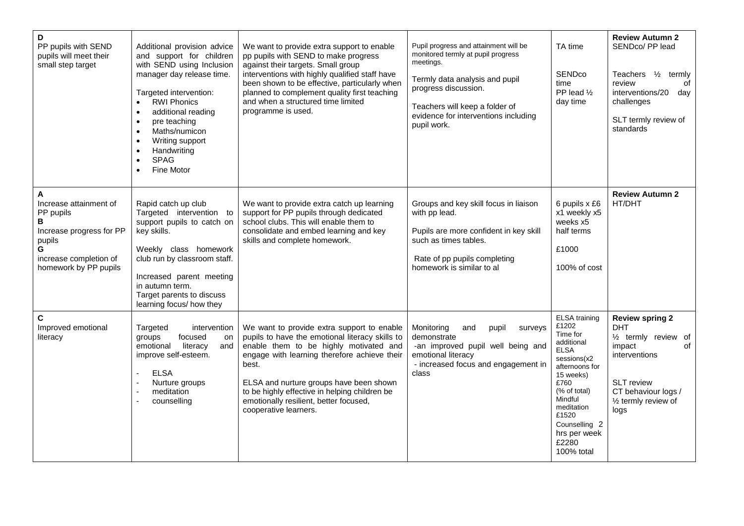| D<br>PP pupils with SEND<br>pupils will meet their<br>small step target                                                                                | Additional provision advice<br>and support for children<br>with SEND using Inclusion<br>manager day release time.<br>Targeted intervention:<br><b>RWI Phonics</b><br>$\bullet$<br>additional reading<br>$\bullet$<br>pre teaching<br>$\bullet$<br>Maths/numicon<br>Writing support<br>$\bullet$<br>Handwriting<br><b>SPAG</b><br>$\bullet$<br>Fine Motor | We want to provide extra support to enable<br>pp pupils with SEND to make progress<br>against their targets. Small group<br>interventions with highly qualified staff have<br>been shown to be effective, particularly when<br>planned to complement quality first teaching<br>and when a structured time limited<br>programme is used.                         | Pupil progress and attainment will be<br>monitored termly at pupil progress<br>meetings.<br>Termly data analysis and pupil<br>progress discussion.<br>Teachers will keep a folder of<br>evidence for interventions including<br>pupil work. | TA time<br>SENDco<br>time<br>PP lead 1/2<br>day time                                                                                                                                                                                   | <b>Review Autumn 2</b><br>SENDco/ PP lead<br>Teachers $\frac{1}{2}$<br>termly<br>review<br>0f<br>interventions/20<br>day<br>challenges<br>SLT termly review of<br>standards                       |
|--------------------------------------------------------------------------------------------------------------------------------------------------------|----------------------------------------------------------------------------------------------------------------------------------------------------------------------------------------------------------------------------------------------------------------------------------------------------------------------------------------------------------|-----------------------------------------------------------------------------------------------------------------------------------------------------------------------------------------------------------------------------------------------------------------------------------------------------------------------------------------------------------------|---------------------------------------------------------------------------------------------------------------------------------------------------------------------------------------------------------------------------------------------|----------------------------------------------------------------------------------------------------------------------------------------------------------------------------------------------------------------------------------------|---------------------------------------------------------------------------------------------------------------------------------------------------------------------------------------------------|
| $\mathbf{A}$<br>Increase attainment of<br>PP pupils<br>В<br>Increase progress for PP<br>pupils<br>G<br>increase completion of<br>homework by PP pupils | Rapid catch up club<br>Targeted intervention to<br>support pupils to catch on<br>key skills.<br>Weekly class homework<br>club run by classroom staff.<br>Increased parent meeting<br>in autumn term.<br>Target parents to discuss<br>learning focus/ how they                                                                                            | We want to provide extra catch up learning<br>support for PP pupils through dedicated<br>school clubs. This will enable them to<br>consolidate and embed learning and key<br>skills and complete homework.                                                                                                                                                      | Groups and key skill focus in liaison<br>with pp lead.<br>Pupils are more confident in key skill<br>such as times tables.<br>Rate of pp pupils completing<br>homework is similar to al                                                      | 6 pupils x £6<br>x1 weekly x5<br>weeks x5<br>half terms<br>£1000<br>100% of cost                                                                                                                                                       | <b>Review Autumn 2</b><br>HT/DHT                                                                                                                                                                  |
| $\mathbf c$<br>Improved emotional<br>literacy                                                                                                          | Targeted<br>intervention<br>groups<br>focused<br>on<br>emotional<br>literacy<br>and<br>improve self-esteem.<br><b>ELSA</b><br>Nurture groups<br>meditation<br>counselling                                                                                                                                                                                | We want to provide extra support to enable<br>pupils to have the emotional literacy skills to<br>enable them to be highly motivated and<br>engage with learning therefore achieve their<br>best.<br>ELSA and nurture groups have been shown<br>to be highly effective in helping children be<br>emotionally resilient, better focused,<br>cooperative learners. | Monitoring<br>pupil<br>surveys<br>and<br>demonstrate<br>-an improved pupil well being and<br>emotional literacy<br>- increased focus and engagement in<br>class                                                                             | <b>ELSA</b> training<br>£1202<br>Time for<br>additional<br><b>ELSA</b><br>sessions(x2<br>afternoons for<br>15 weeks)<br>£760<br>(% of total)<br>Mindful<br>meditation<br>£1520<br>Counselling 2<br>hrs per week<br>£2280<br>100% total | <b>Review spring 2</b><br><b>DHT</b><br>1/ <sub>2</sub> termly review of<br>impact<br>of<br>interventions<br><b>SLT</b> review<br>CT behaviour logs /<br>1/ <sub>2</sub> termly review of<br>logs |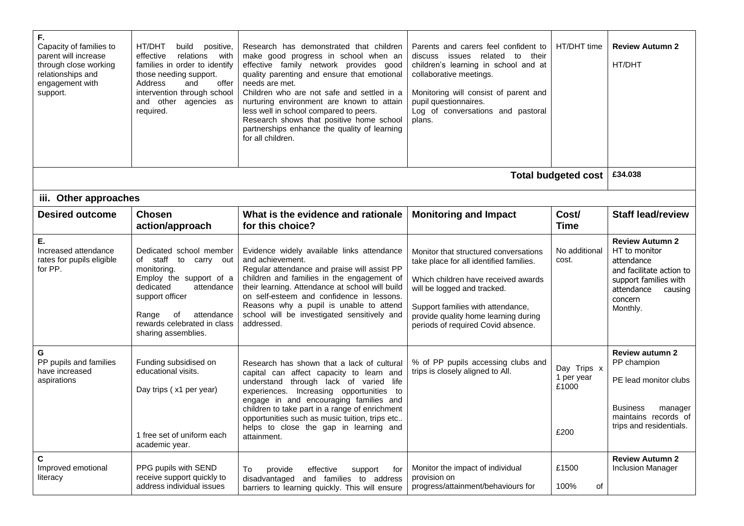| F.<br>Capacity of families to<br>parent will increase<br>through close working<br>relationships and<br>engagement with<br>support. | HT/DHT<br>build<br>positive,<br>relations<br>effective<br>with<br>families in order to identify<br>those needing support.<br>Address<br>offer<br>and<br>intervention through school<br>and other agencies as<br>required.   | Research has demonstrated that children<br>make good progress in school when an<br>effective family network provides good<br>quality parenting and ensure that emotional<br>needs are met.<br>Children who are not safe and settled in a<br>nurturing environment are known to attain<br>less well in school compared to peers.<br>Research shows that positive home school<br>partnerships enhance the quality of learning<br>for all children. | Parents and carers feel confident to<br>discuss issues related to<br>their<br>children's learning in school and at<br>collaborative meetings.<br>Monitoring will consist of parent and<br>pupil questionnaires.<br>Log of conversations and pastoral<br>plans.            | HT/DHT time                                | <b>Review Autumn 2</b><br>HT/DHT                                                                                                                           |  |  |
|------------------------------------------------------------------------------------------------------------------------------------|-----------------------------------------------------------------------------------------------------------------------------------------------------------------------------------------------------------------------------|--------------------------------------------------------------------------------------------------------------------------------------------------------------------------------------------------------------------------------------------------------------------------------------------------------------------------------------------------------------------------------------------------------------------------------------------------|---------------------------------------------------------------------------------------------------------------------------------------------------------------------------------------------------------------------------------------------------------------------------|--------------------------------------------|------------------------------------------------------------------------------------------------------------------------------------------------------------|--|--|
| <b>Total budgeted cost</b>                                                                                                         |                                                                                                                                                                                                                             |                                                                                                                                                                                                                                                                                                                                                                                                                                                  |                                                                                                                                                                                                                                                                           |                                            |                                                                                                                                                            |  |  |
| iii. Other approaches                                                                                                              |                                                                                                                                                                                                                             |                                                                                                                                                                                                                                                                                                                                                                                                                                                  |                                                                                                                                                                                                                                                                           |                                            |                                                                                                                                                            |  |  |
| <b>Desired outcome</b>                                                                                                             | <b>Chosen</b><br>action/approach                                                                                                                                                                                            | What is the evidence and rationale<br>for this choice?                                                                                                                                                                                                                                                                                                                                                                                           | <b>Monitoring and Impact</b>                                                                                                                                                                                                                                              | Cost/<br><b>Time</b>                       | <b>Staff lead/review</b>                                                                                                                                   |  |  |
| Е.<br>Increased attendance<br>rates for pupils eligible<br>for PP.                                                                 | Dedicated school member<br>of staff to carry out<br>monitoring.<br>Employ the support of a<br>attendance<br>dedicated<br>support officer<br>attendance<br>Range<br>of<br>rewards celebrated in class<br>sharing assemblies. | Evidence widely available links attendance<br>and achievement.<br>Regular attendance and praise will assist PP<br>children and families in the engagement of<br>their learning. Attendance at school will build<br>on self-esteem and confidence in lessons.<br>Reasons why a pupil is unable to attend<br>school will be investigated sensitively and<br>addressed.                                                                             | Monitor that structured conversations<br>take place for all identified families.<br>Which children have received awards<br>will be logged and tracked.<br>Support families with attendance,<br>provide quality home learning during<br>periods of required Covid absence. | No additional<br>cost.                     | <b>Review Autumn 2</b><br>HT to monitor<br>attendance<br>and facilitate action to<br>support families with<br>attendance<br>causing<br>concern<br>Monthly. |  |  |
| G<br>PP pupils and families<br>have increased<br>aspirations                                                                       | Funding subsidised on<br>educational visits.<br>Day trips (x1 per year)<br>1 free set of uniform each<br>academic year.                                                                                                     | Research has shown that a lack of cultural<br>capital can affect capacity to learn and<br>understand through lack of varied life<br>experiences. Increasing opportunities to<br>engage in and encouraging families and<br>children to take part in a range of enrichment<br>opportunities such as music tuition, trips etc<br>helps to close the gap in learning and<br>attainment.                                                              | % of PP pupils accessing clubs and<br>trips is closely aligned to All.                                                                                                                                                                                                    | Day Trips x<br>1 per year<br>£1000<br>£200 | <b>Review autumn 2</b><br>PP champion<br>PE lead monitor clubs<br><b>Business</b><br>manager<br>maintains records of<br>trips and residentials.            |  |  |
| $\mathbf c$<br>Improved emotional<br>literacy                                                                                      | PPG pupils with SEND<br>receive support quickly to<br>address individual issues                                                                                                                                             | provide<br>effective<br>To<br>support<br>for<br>disadvantaged and families to address<br>barriers to learning quickly. This will ensure                                                                                                                                                                                                                                                                                                          | Monitor the impact of individual<br>provision on<br>progress/attainment/behaviours for                                                                                                                                                                                    | £1500<br>100%<br>of                        | <b>Review Autumn 2</b><br><b>Inclusion Manager</b>                                                                                                         |  |  |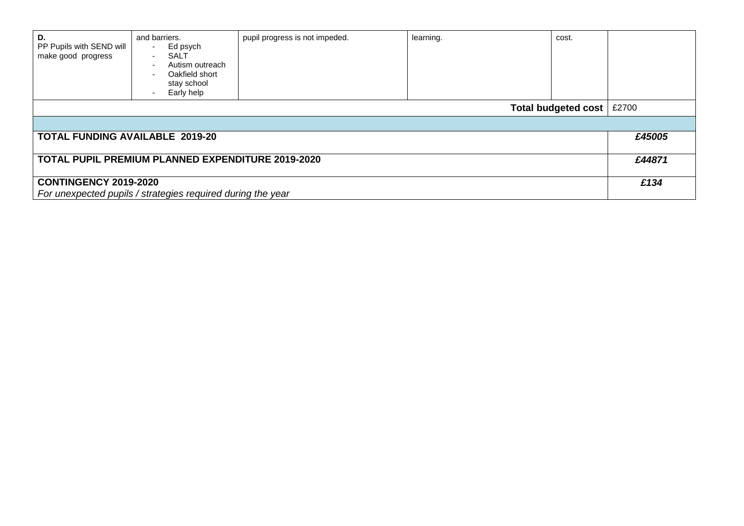| D.<br>PP Pupils with SEND will<br>make good progress        | and barriers.<br>Ed psych<br><b>SALT</b><br>$\sim$<br>Autism outreach<br>$\overline{\phantom{a}}$<br>Oakfield short<br>$\overline{\phantom{a}}$<br>stay school<br>Early help | pupil progress is not impeded. | learning. | cost. |        |  |  |
|-------------------------------------------------------------|------------------------------------------------------------------------------------------------------------------------------------------------------------------------------|--------------------------------|-----------|-------|--------|--|--|
| £2700<br>Total budgeted cost                                |                                                                                                                                                                              |                                |           |       |        |  |  |
|                                                             |                                                                                                                                                                              |                                |           |       |        |  |  |
| <b>TOTAL FUNDING AVAILABLE 2019-20</b>                      |                                                                                                                                                                              |                                |           |       | £45005 |  |  |
|                                                             |                                                                                                                                                                              |                                |           |       | £44871 |  |  |
| <b>TOTAL PUPIL PREMIUM PLANNED EXPENDITURE 2019-2020</b>    |                                                                                                                                                                              |                                |           |       |        |  |  |
| <b>CONTINGENCY 2019-2020</b>                                |                                                                                                                                                                              |                                |           |       |        |  |  |
| For unexpected pupils / strategies required during the year |                                                                                                                                                                              |                                |           |       |        |  |  |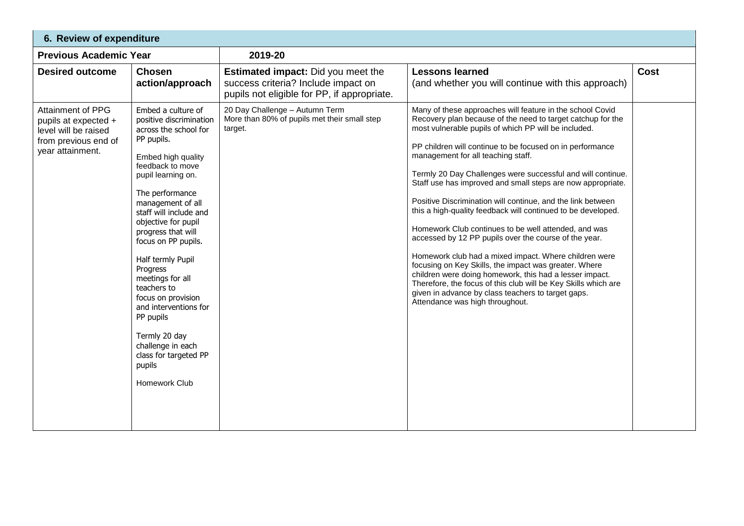| 6. Review of expenditure                                                                                             |                                                                                                                                                                                                                                                                                                                                                                                                                                                                                                                      |                                                                                                                                 |                                                                                                                                                                                                                                                                                                                                                                                                                                                                                                                                                                                                                                                                                                                                                                                                                                                                                                                                                                                                           |             |  |  |  |  |
|----------------------------------------------------------------------------------------------------------------------|----------------------------------------------------------------------------------------------------------------------------------------------------------------------------------------------------------------------------------------------------------------------------------------------------------------------------------------------------------------------------------------------------------------------------------------------------------------------------------------------------------------------|---------------------------------------------------------------------------------------------------------------------------------|-----------------------------------------------------------------------------------------------------------------------------------------------------------------------------------------------------------------------------------------------------------------------------------------------------------------------------------------------------------------------------------------------------------------------------------------------------------------------------------------------------------------------------------------------------------------------------------------------------------------------------------------------------------------------------------------------------------------------------------------------------------------------------------------------------------------------------------------------------------------------------------------------------------------------------------------------------------------------------------------------------------|-------------|--|--|--|--|
| <b>Previous Academic Year</b>                                                                                        |                                                                                                                                                                                                                                                                                                                                                                                                                                                                                                                      | 2019-20                                                                                                                         |                                                                                                                                                                                                                                                                                                                                                                                                                                                                                                                                                                                                                                                                                                                                                                                                                                                                                                                                                                                                           |             |  |  |  |  |
| <b>Desired outcome</b>                                                                                               | <b>Chosen</b><br>action/approach                                                                                                                                                                                                                                                                                                                                                                                                                                                                                     | <b>Estimated impact:</b> Did you meet the<br>success criteria? Include impact on<br>pupils not eligible for PP, if appropriate. | <b>Lessons learned</b><br>(and whether you will continue with this approach)                                                                                                                                                                                                                                                                                                                                                                                                                                                                                                                                                                                                                                                                                                                                                                                                                                                                                                                              | <b>Cost</b> |  |  |  |  |
| <b>Attainment of PPG</b><br>pupils at expected +<br>level will be raised<br>from previous end of<br>year attainment. | Embed a culture of<br>positive discrimination<br>across the school for<br>PP pupils.<br>Embed high quality<br>feedback to move<br>pupil learning on.<br>The performance<br>management of all<br>staff will include and<br>objective for pupil<br>progress that will<br>focus on PP pupils.<br>Half termly Pupil<br>Progress<br>meetings for all<br>teachers to<br>focus on provision<br>and interventions for<br>PP pupils<br>Termly 20 day<br>challenge in each<br>class for targeted PP<br>pupils<br>Homework Club | 20 Day Challenge - Autumn Term<br>More than 80% of pupils met their small step<br>target.                                       | Many of these approaches will feature in the school Covid<br>Recovery plan because of the need to target catchup for the<br>most vulnerable pupils of which PP will be included.<br>PP children will continue to be focused on in performance<br>management for all teaching staff.<br>Termly 20 Day Challenges were successful and will continue.<br>Staff use has improved and small steps are now appropriate.<br>Positive Discrimination will continue, and the link between<br>this a high-quality feedback will continued to be developed.<br>Homework Club continues to be well attended, and was<br>accessed by 12 PP pupils over the course of the year.<br>Homework club had a mixed impact. Where children were<br>focusing on Key Skills, the impact was greater. Where<br>children were doing homework, this had a lesser impact.<br>Therefore, the focus of this club will be Key Skills which are<br>given in advance by class teachers to target gaps.<br>Attendance was high throughout. |             |  |  |  |  |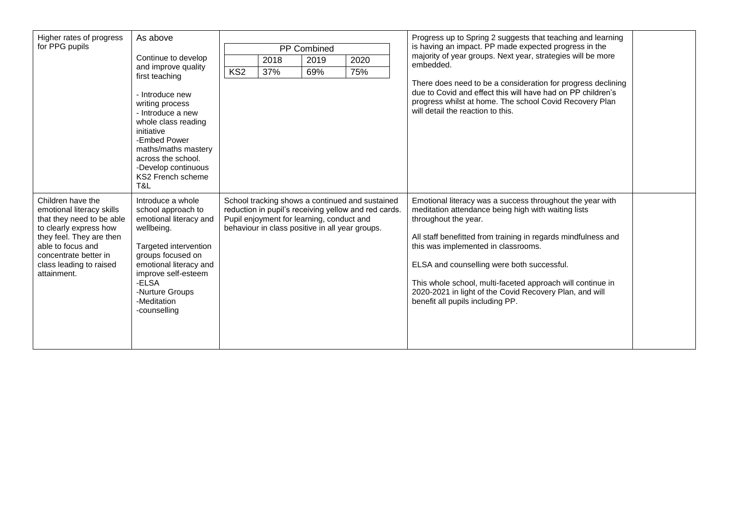| Higher rates of progress                                                                                                                                                                                                  | As above                                                                                                                                                                                                                                  |                                                                                                                                                                                                         |      |      |      |  | Progress up to Spring 2 suggests that teaching and learning                                                                                                                                                                                                                                                                                                                                                                                                 |  |
|---------------------------------------------------------------------------------------------------------------------------------------------------------------------------------------------------------------------------|-------------------------------------------------------------------------------------------------------------------------------------------------------------------------------------------------------------------------------------------|---------------------------------------------------------------------------------------------------------------------------------------------------------------------------------------------------------|------|------|------|--|-------------------------------------------------------------------------------------------------------------------------------------------------------------------------------------------------------------------------------------------------------------------------------------------------------------------------------------------------------------------------------------------------------------------------------------------------------------|--|
| for PPG pupils                                                                                                                                                                                                            |                                                                                                                                                                                                                                           | PP Combined                                                                                                                                                                                             |      |      |      |  | is having an impact. PP made expected progress in the                                                                                                                                                                                                                                                                                                                                                                                                       |  |
|                                                                                                                                                                                                                           | Continue to develop                                                                                                                                                                                                                       |                                                                                                                                                                                                         | 2018 | 2019 | 2020 |  | majority of year groups. Next year, strategies will be more<br>embedded.                                                                                                                                                                                                                                                                                                                                                                                    |  |
|                                                                                                                                                                                                                           | and improve quality<br>first teaching                                                                                                                                                                                                     | KS2                                                                                                                                                                                                     | 37%  | 69%  | 75%  |  |                                                                                                                                                                                                                                                                                                                                                                                                                                                             |  |
|                                                                                                                                                                                                                           | - Introduce new<br>writing process<br>- Introduce a new<br>whole class reading<br>initiative<br>-Embed Power<br>maths/maths mastery<br>across the school.<br>-Develop continuous<br>KS2 French scheme<br>T&L                              |                                                                                                                                                                                                         |      |      |      |  | There does need to be a consideration for progress declining<br>due to Covid and effect this will have had on PP children's<br>progress whilst at home. The school Covid Recovery Plan<br>will detail the reaction to this.                                                                                                                                                                                                                                 |  |
| Children have the<br>emotional literacy skills<br>that they need to be able<br>to clearly express how<br>they feel. They are then<br>able to focus and<br>concentrate better in<br>class leading to raised<br>attainment. | Introduce a whole<br>school approach to<br>emotional literacy and<br>wellbeing.<br>Targeted intervention<br>groups focused on<br>emotional literacy and<br>improve self-esteem<br>-ELSA<br>-Nurture Groups<br>-Meditation<br>-counselling | School tracking shows a continued and sustained<br>reduction in pupil's receiving yellow and red cards.<br>Pupil enjoyment for learning, conduct and<br>behaviour in class positive in all year groups. |      |      |      |  | Emotional literacy was a success throughout the year with<br>meditation attendance being high with waiting lists<br>throughout the year.<br>All staff benefitted from training in regards mindfulness and<br>this was implemented in classrooms.<br>ELSA and counselling were both successful.<br>This whole school, multi-faceted approach will continue in<br>2020-2021 in light of the Covid Recovery Plan, and will<br>benefit all pupils including PP. |  |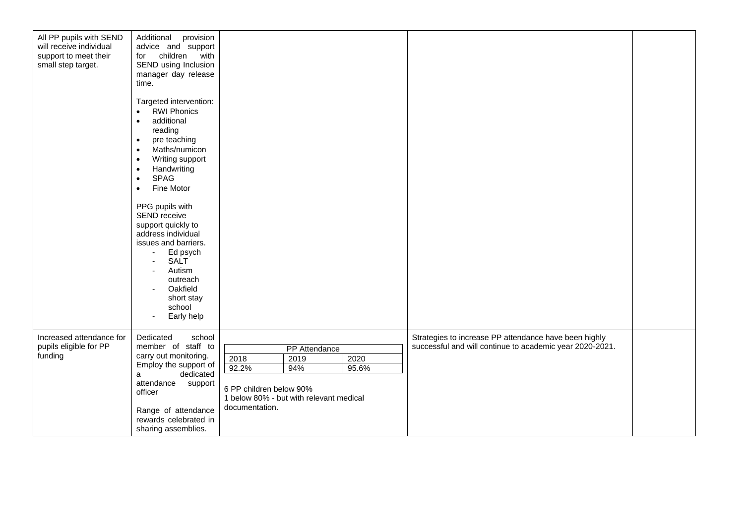| All PP pupils with SEND<br>will receive individual<br>support to meet their<br>small step target. | Additional<br>provision<br>advice and support<br>children with<br>for<br>SEND using Inclusion<br>manager day release<br>time.<br>Targeted intervention:<br><b>RWI Phonics</b><br>$\bullet$<br>additional<br>$\bullet$<br>reading<br>pre teaching<br>$\bullet$<br>Maths/numicon<br>$\bullet$<br>Writing support<br>$\bullet$<br>Handwriting<br>$\bullet$<br><b>SPAG</b><br>$\bullet$<br>Fine Motor<br>$\bullet$<br>PPG pupils with<br>SEND receive<br>support quickly to<br>address individual<br>issues and barriers.<br>Ed psych<br><b>SALT</b><br>Autism<br>outreach<br>Oakfield<br>short stay<br>school<br>Early help |                                                                                                                                                        |                                                                                                                   |  |
|---------------------------------------------------------------------------------------------------|--------------------------------------------------------------------------------------------------------------------------------------------------------------------------------------------------------------------------------------------------------------------------------------------------------------------------------------------------------------------------------------------------------------------------------------------------------------------------------------------------------------------------------------------------------------------------------------------------------------------------|--------------------------------------------------------------------------------------------------------------------------------------------------------|-------------------------------------------------------------------------------------------------------------------|--|
| Increased attendance for<br>pupils eligible for PP<br>funding                                     | school<br>Dedicated<br>member of staff to<br>carry out monitoring.<br>Employ the support of<br>dedicated<br>a<br>attendance<br>support<br>officer<br>Range of attendance<br>rewards celebrated in<br>sharing assemblies.                                                                                                                                                                                                                                                                                                                                                                                                 | PP Attendance<br>2018<br>2019<br>2020<br>92.2%<br>94%<br>95.6%<br>6 PP children below 90%<br>1 below 80% - but with relevant medical<br>documentation. | Strategies to increase PP attendance have been highly<br>successful and will continue to academic year 2020-2021. |  |